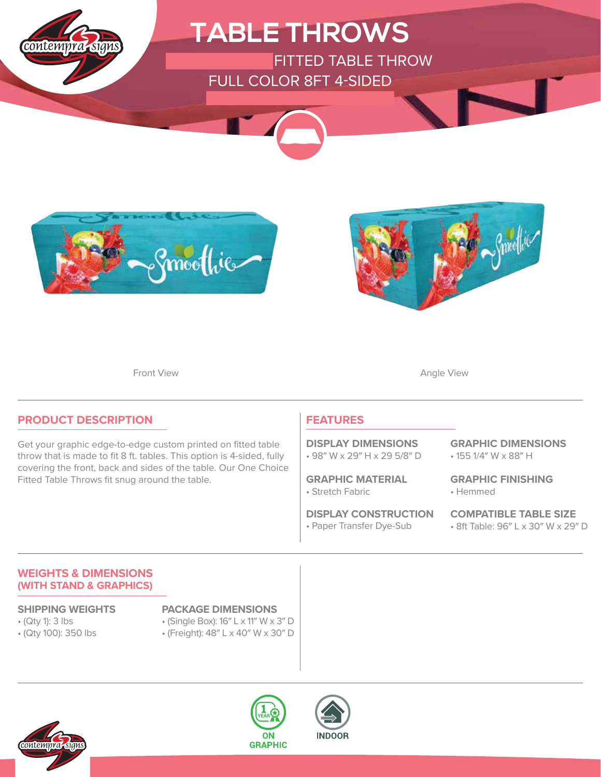





Front View **Angle View Angle View** 

### **PRODUCT DESCRIPTION**

Get your graphic edge-to-edge custom printed on fitted table throw that is made to fit 8 ft. tables. This option is 4-sided, fully covering the front, back and sides of the table. Our One Choice Fitted Table Throws fit snug around the table.

### **FEATURES**

• 98″ W x 29″ H x 29 5/8″ D **DISPLAY DIMENSIONS**

• Stretch Fabric **GRAPHIC MATERIAL**

• Paper Transfer Dye-Sub **DISPLAY CONSTRUCTION** • 155 1/4″ W x 88″ H **GRAPHIC DIMENSIONS**

• Hemmed **GRAPHIC FINISHING**

**COMPATIBLE TABLE SIZE** • 8ft Table: 96″ L x 30″ W x 29″ D

### **WEIGHTS & DIMENSIONS (WITH STAND & GRAPHICS)**

- (Qty 1): 3 lbs
- (Qty 100): 350 lbs

### **SHIPPING WEIGHTS PACKAGE DIMENSIONS**

- (Single Box): 16″ L x 11″ W x 3″ D
- (Freight): 48″ L x 40″ W x 30″ D